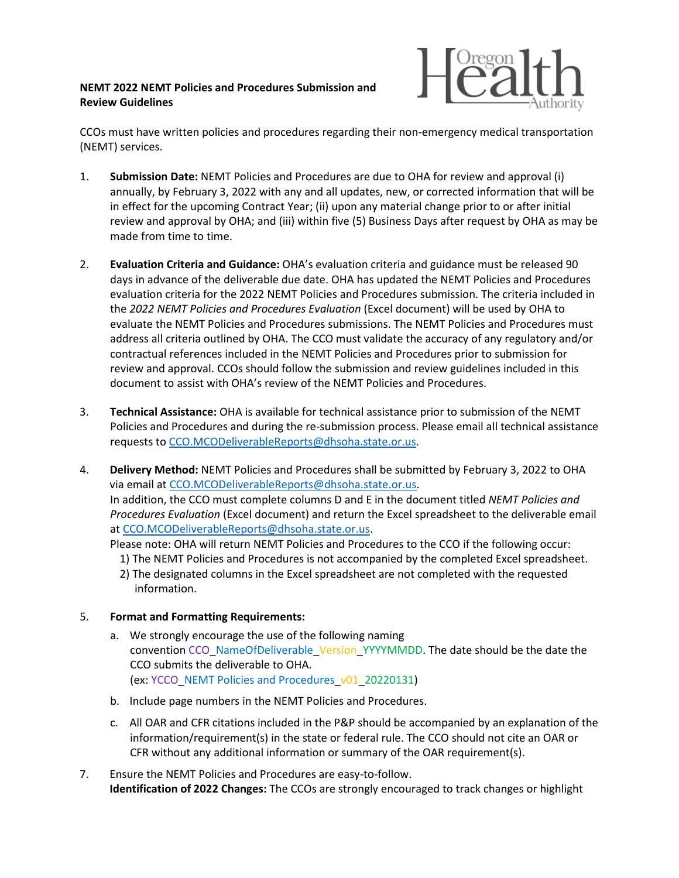## **NEMT 2022 NEMT Policies and Procedures Submission and Review Guidelines**



CCOs must have written policies and procedures regarding their non-emergency medical transportation (NEMT) services.

- 1. **Submission Date:** NEMT Policies and Procedures are due to OHA for review and approval (i) annually, by February 3, 2022 with any and all updates, new, or corrected information that will be in effect for the upcoming Contract Year; (ii) upon any material change prior to or after initial review and approval by OHA; and (iii) within five (5) Business Days after request by OHA as may be made from time to time.
- 2. **Evaluation Criteria and Guidance:** OHA's evaluation criteria and guidance must be released 90 days in advance of the deliverable due date. OHA has updated the NEMT Policies and Procedures evaluation criteria for the 2022 NEMT Policies and Procedures submission. The criteria included in the *2022 NEMT Policies and Procedures Evaluation* (Excel document) will be used by OHA to evaluate the NEMT Policies and Procedures submissions. The NEMT Policies and Procedures must address all criteria outlined by OHA. The CCO must validate the accuracy of any regulatory and/or contractual references included in the NEMT Policies and Procedures prior to submission for review and approval. CCOs should follow the submission and review guidelines included in this document to assist with OHA's review of the NEMT Policies and Procedures.
- 3. **Technical Assistance:** OHA is available for technical assistance prior to submission of the NEMT Policies and Procedures and during the re-submission process. Please email all technical assistance requests to [CCO.MCODeliverableReports@dhsoha.state.or.us.](mailto:CCO.MCODeliverableReports@dhsoha.state.or.us)
- 4. **Delivery Method:** NEMT Policies and Procedures shall be submitted by February 3, 2022 to OHA via email at [CCO.MCODeliverableReports@dhsoha.state.or.us.](mailto:CCO.MCODeliverableReports@dhsoha.state.or.us) In addition, the CCO must complete columns D and E in the document titled *NEMT Policies and Procedures Evaluation* (Excel document) and return the Excel spreadsheet to the deliverable email at [CCO.MCODeliverableReports@dhsoha.state.or.us.](mailto:CCO.MCODeliverableReports@dhsoha.state.or.us) Please note: OHA will return NEMT Policies and Procedures to the CCO if the following occur:

1) The NEMT Policies and Procedures is not accompanied by the completed Excel spreadsheet.

2) The designated columns in the Excel spreadsheet are not completed with the requested information.

## 5. **Format and Formatting Requirements:**

- a. We strongly encourage the use of the following naming convention CCO\_NameOfDeliverable\_Version\_YYYYMMDD. The date should be the date the CCO submits the deliverable to OHA. (ex: YCCO\_NEMT Policies and Procedures\_v01\_20220131)
- b. Include page numbers in the NEMT Policies and Procedures.
- c. All OAR and CFR citations included in the P&P should be accompanied by an explanation of the information/requirement(s) in the state or federal rule. The CCO should not cite an OAR or CFR without any additional information or summary of the OAR requirement(s).
- 7. Ensure the NEMT Policies and Procedures are easy-to-follow. **Identification of 2022 Changes:** The CCOs are strongly encouraged to track changes or highlight